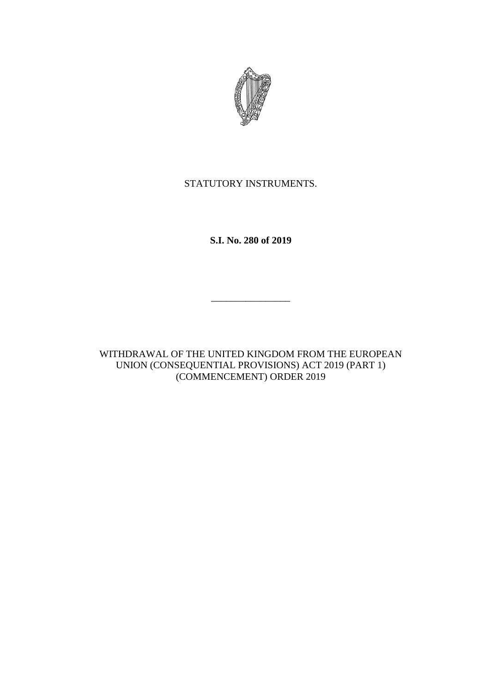

# STATUTORY INSTRUMENTS.

**S.I. No. 280 of 2019**

\_\_\_\_\_\_\_\_\_\_\_\_\_\_\_\_

WITHDRAWAL OF THE UNITED KINGDOM FROM THE EUROPEAN UNION (CONSEQUENTIAL PROVISIONS) ACT 2019 (PART 1) (COMMENCEMENT) ORDER 2019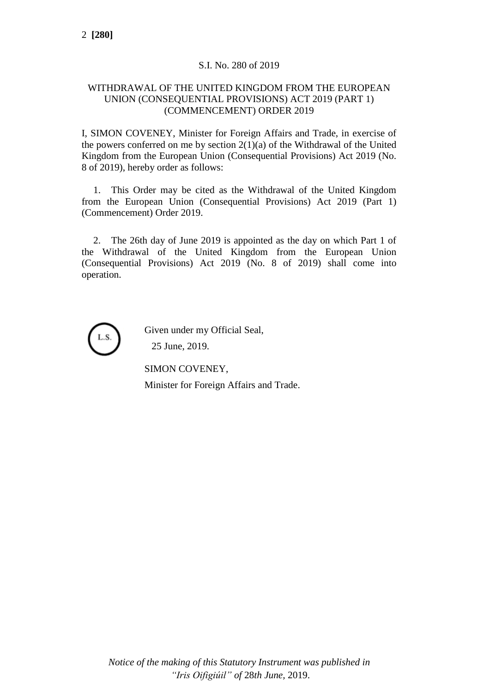## S.I. No. 280 of 2019

#### WITHDRAWAL OF THE UNITED KINGDOM FROM THE EUROPEAN UNION (CONSEQUENTIAL PROVISIONS) ACT 2019 (PART 1) (COMMENCEMENT) ORDER 2019

I, SIMON COVENEY, Minister for Foreign Affairs and Trade, in exercise of the powers conferred on me by section  $2(1)(a)$  of the Withdrawal of the United Kingdom from the European Union (Consequential Provisions) Act 2019 (No. 8 of 2019), hereby order as follows:

1. This Order may be cited as the Withdrawal of the United Kingdom from the European Union (Consequential Provisions) Act 2019 (Part 1) (Commencement) Order 2019.

2. The 26th day of June 2019 is appointed as the day on which Part 1 of the Withdrawal of the United Kingdom from the European Union (Consequential Provisions) Act 2019 (No. 8 of 2019) shall come into operation.



Given under my Official Seal,

25 June, 2019.

SIMON COVENEY,

Minister for Foreign Affairs and Trade.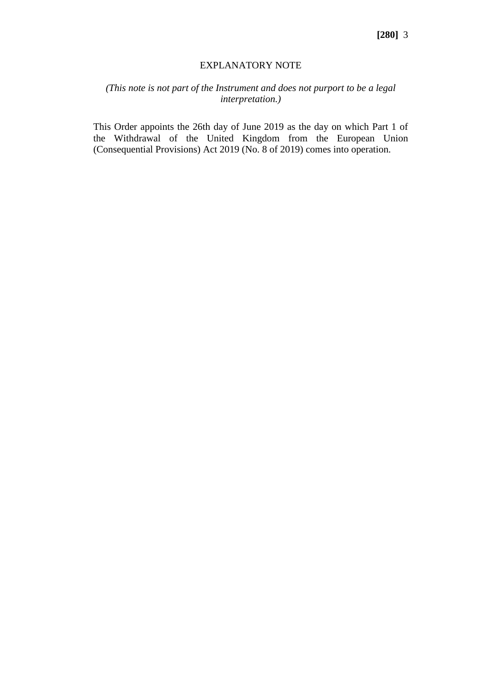#### EXPLANATORY NOTE

### *(This note is not part of the Instrument and does not purport to be a legal interpretation.)*

This Order appoints the 26th day of June 2019 as the day on which Part 1 of the Withdrawal of the United Kingdom from the European Union (Consequential Provisions) Act 2019 (No. 8 of 2019) comes into operation.